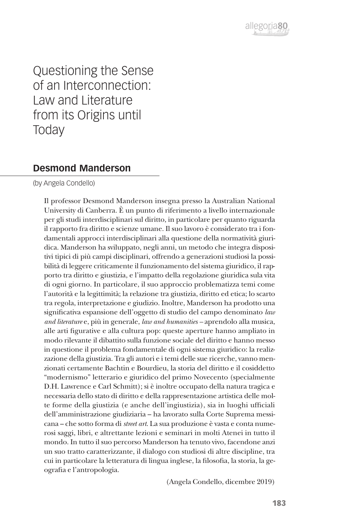

Questioning the Sense of an Interconnection: Law and Literature from its Origins until **Today** 

## **Desmond Manderson**

(by Angela Condello)

Il professor Desmond Manderson insegna presso la Australian National University di Canberra. È un punto di riferimento a livello internazionale per gli studi interdisciplinari sul diritto, in particolare per quanto riguarda il rapporto fra diritto e scienze umane. Il suo lavoro è considerato tra i fondamentali approcci interdisciplinari alla questione della normatività giuridica. Manderson ha sviluppato, negli anni, un metodo che integra dispositivi tipici di più campi disciplinari, offrendo a generazioni studiosi la possibilità di leggere criticamente il funzionamento del sistema giuridico, il rapporto tra diritto e giustizia, e l'impatto della regolazione giuridica sula vita di ogni giorno. In particolare, il suo approccio problematizza temi come l'autorità e la legittimità; la relazione tra giustizia, diritto ed etica; lo scarto tra regola, interpretazione e giudizio. Inoltre, Manderson ha prodotto una significativa espansione dell'oggetto di studio del campo denominato *law and literature* e, più in generale, *law and humanities –* aprendolo alla musica, alle arti figurative e alla cultura pop: queste aperture hanno ampliato in modo rilevante il dibattito sulla funzione sociale del diritto e hanno messo in questione il problema fondamentale di ogni sistema giuridico: la realizzazione della giustizia. Tra gli autori e i temi delle sue ricerche, vanno menzionati certamente Bachtin e Bourdieu, la storia del diritto e il cosiddetto "modernismo" letterario e giuridico del primo Novecento (specialmente D.H. Lawrence e Carl Schmitt); si è inoltre occupato della natura tragica e necessaria dello stato di diritto e della rappresentazione artistica delle molte forme della giustizia (e anche dell'ingiustizia), sia in luoghi ufficiali dell'amministrazione giudiziaria – ha lavorato sulla Corte Suprema messicana – che sotto forma di *street art*. La sua produzione è vasta e conta numerosi saggi, libri, e altrettante lezioni e seminari in molti Atenei in tutto il mondo. In tutto il suo percorso Manderson ha tenuto vivo, facendone anzi un suo tratto caratterizzante, il dialogo con studiosi di altre discipline, tra cui in particolare la letteratura di lingua inglese, la filosofia, la storia, la geografia e l'antropologia.

(Angela Condello, dicembre 2019)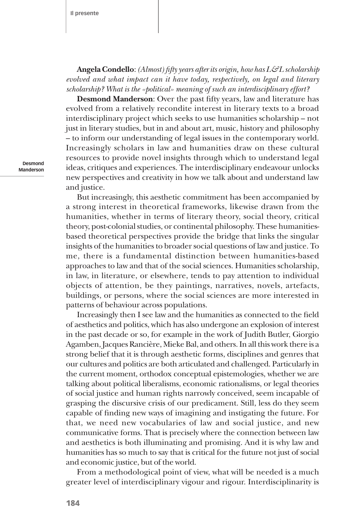**Angela Condello**: *(Almost) fifty years after its origin, how has L&L scholarship evolved and what impact can it have today, respectively, on legal and literary scholarship? What is the «political» meaning of such an interdisciplinary effort?*

**Desmond Manderson**: Over the past fifty years, law and literature has evolved from a relatively recondite interest in literary texts to a broad interdisciplinary project which seeks to use humanities scholarship – not just in literary studies, but in and about art, music, history and philosophy – to inform our understanding of legal issues in the contemporary world. Increasingly scholars in law and humanities draw on these cultural resources to provide novel insights through which to understand legal ideas, critiques and experiences. The interdisciplinary endeavour unlocks new perspectives and creativity in how we talk about and understand law and justice.

But increasingly, this aesthetic commitment has been accompanied by a strong interest in theoretical frameworks, likewise drawn from the humanities, whether in terms of literary theory, social theory, critical theory, post-colonial studies, or continental philosophy. These humanitiesbased theoretical perspectives provide the bridge that links the singular insights of the humanities to broader social questions of law and justice. To me, there is a fundamental distinction between humanities-based approaches to law and that of the social sciences. Humanities scholarship, in law, in literature, or elsewhere, tends to pay attention to individual objects of attention, be they paintings, narratives, novels, artefacts, buildings, or persons, where the social sciences are more interested in patterns of behaviour across populations.

Increasingly then I see law and the humanities as connected to the field of aesthetics and politics, which has also undergone an explosion of interest in the past decade or so, for example in the work of Judith Butler, Giorgio Agamben, Jacques Rancière, Mieke Bal, and others. In all this work there is a strong belief that it is through aesthetic forms, disciplines and genres that our cultures and politics are both articulated and challenged. Particularly in the current moment, orthodox conceptual epistemologies, whether we are talking about political liberalisms, economic rationalisms, or legal theories of social justice and human rights narrowly conceived, seem incapable of grasping the discursive crisis of our predicament. Still, less do they seem capable of finding new ways of imagining and instigating the future. For that, we need new vocabularies of law and social justice, and new communicative forms. That is precisely where the connection between law and aesthetics is both illuminating and promising. And it is why law and humanities has so much to say that is critical for the future not just of social and economic justice, but of the world.

From a methodological point of view, what will be needed is a much greater level of interdisciplinary vigour and rigour. Interdisciplinarity is

**Desmond Manderson**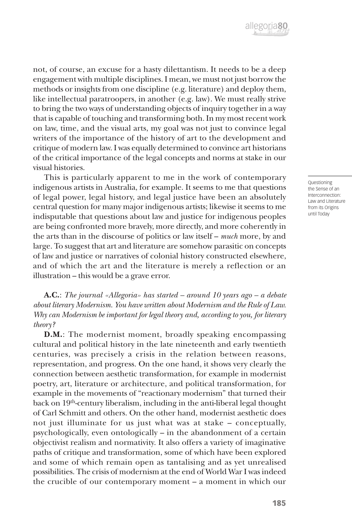

not, of course, an excuse for a hasty dilettantism. It needs to be a deep engagement with multiple disciplines. I mean, we must not just borrow the methods or insights from one discipline (e.g. literature) and deploy them, like intellectual paratroopers, in another (e.g. law). We must really strive to bring the two ways of understanding objects of inquiry together in a way that is capable of touching and transforming both. In my most recent work on law, time, and the visual arts, my goal was not just to convince legal writers of the importance of the history of art to the development and critique of modern law. I was equally determined to convince art historians of the critical importance of the legal concepts and norms at stake in our visual histories.

This is particularly apparent to me in the work of contemporary indigenous artists in Australia, for example. It seems to me that questions of legal power, legal history, and legal justice have been an absolutely central question for many major indigenous artists; likewise it seems to me indisputable that questions about law and justice for indigenous peoples are being confronted more bravely, more directly, and more coherently in the arts than in the discourse of politics or law itself – *much* more, by and large. To suggest that art and literature are somehow parasitic on concepts of law and justice or narratives of colonial history constructed elsewhere, and of which the art and the literature is merely a reflection or an illustration – this would be a grave error.

**A.C.**: *The journal «Allegoria» has started – around 10 years ago – a debate about literary Modernism. You have written about Modernism and the Rule of Law. Why can Modernism be important for legal theory and, according to you, for literary theory?*

**D.M.**: The modernist moment, broadly speaking encompassing cultural and political history in the late nineteenth and early twentieth centuries, was precisely a crisis in the relation between reasons, representation, and progress. On the one hand, it shows very clearly the connection between aesthetic transformation, for example in modernist poetry, art, literature or architecture, and political transformation, for example in the movements of "reactionary modernism" that turned their back on  $19<sup>th</sup>$ -century liberalism, including in the anti-liberal legal thought of Carl Schmitt and others. On the other hand, modernist aesthetic does not just illuminate for us just what was at stake – conceptually, psychologically, even ontologically – in the abandonment of a certain objectivist realism and normativity. It also offers a variety of imaginative paths of critique and transformation, some of which have been explored and some of which remain open as tantalising and as yet unrealised possibilities. The crisis of modernism at the end of World War I was indeed the crucible of our contemporary moment – a moment in which our

Questioning the Sense of an Interconnection: Law and Literature from its Origins until Today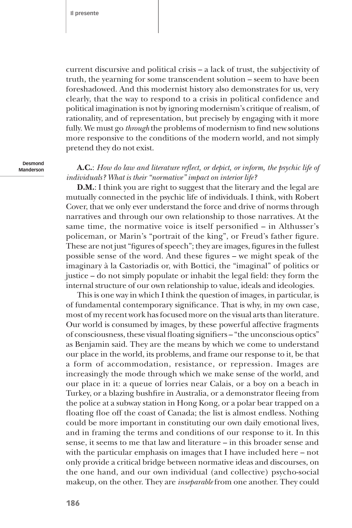current discursive and political crisis – a lack of trust, the subjectivity of truth, the yearning for some transcendent solution – seem to have been foreshadowed. And this modernist history also demonstrates for us, very clearly, that the way to respond to a crisis in political confidence and political imagination is not by ignoring modernism's critique of realism, of rationality, and of representation, but precisely by engaging with it more fully. We must go *through* the problems of modernism to find new solutions more responsive to the conditions of the modern world, and not simply pretend they do not exist.

**Desmond Manderson**

**A.C.**: *How do law and literature reflect, or depict, or inform, the psychic life of individuals? What is their "normative" impact on interior life?*

**D.M.**: I think you are right to suggest that the literary and the legal are mutually connected in the psychic life of individuals. I think, with Robert Cover, that we only ever understand the force and drive of norms through narratives and through our own relationship to those narratives. At the same time, the normative voice is itself personified – in Althusser's policeman, or Marin's "portrait of the king", or Freud's father figure. These are not just "figures of speech"; they are images, figures in the fullest possible sense of the word. And these figures – we might speak of the imaginary à la Castoriadis or, with Bottici, the "imaginal" of politics or justice – do not simply populate or inhabit the legal field: they form the internal structure of our own relationship to value, ideals and ideologies.

This is one way in which I think the question of images, in particular, is of fundamental contemporary significance. That is why, in my own case, most of my recent work has focused more on the visual arts than literature. Our world is consumed by images, by these powerful affective fragments of consciousness, these visual floating signifiers – "the unconscious optics" as Benjamin said. They are the means by which we come to understand our place in the world, its problems, and frame our response to it, be that a form of accommodation, resistance, or repression. Images are increasingly the mode through which we make sense of the world, and our place in it: a queue of lorries near Calais, or a boy on a beach in Turkey, or a blazing bushfire in Australia, or a demonstrator fleeing from the police at a subway station in Hong Kong, or a polar bear trapped on a floating floe off the coast of Canada; the list is almost endless. Nothing could be more important in constituting our own daily emotional lives, and in framing the terms and conditions of our response to it. In this sense, it seems to me that law and literature – in this broader sense and with the particular emphasis on images that I have included here – not only provide a critical bridge between normative ideas and discourses, on the one hand, and our own individual (and collective) psycho-social makeup, on the other. They are *inseparable* from one another. They could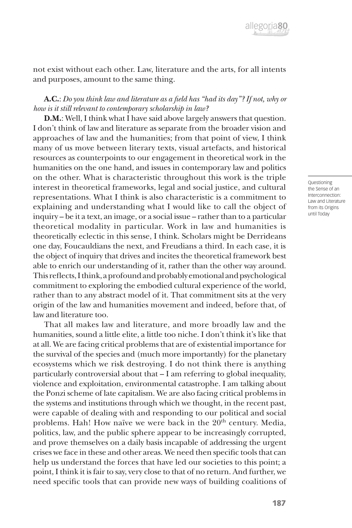

not exist without each other. Law, literature and the arts, for all intents and purposes, amount to the same thing.

## **A.C.**: *Do you think law and literature as a field has "had its day"? If not, why or how is it still relevant to contemporary scholarship in law?*

**D.M.**: Well, I think what I have said above largely answers that question. I don't think of law and literature as separate from the broader vision and approaches of law and the humanities; from that point of view, I think many of us move between literary texts, visual artefacts, and historical resources as counterpoints to our engagement in theoretical work in the humanities on the one hand, and issues in contemporary law and politics on the other. What is characteristic throughout this work is the triple interest in theoretical frameworks, legal and social justice, and cultural representations. What I think is also characteristic is a commitment to explaining and understanding what I would like to call the object of inquiry – be it a text, an image, or a social issue – rather than to a particular theoretical modality in particular. Work in law and humanities is theoretically eclectic in this sense, I think. Scholars might be Derrideans one day, Foucauldians the next, and Freudians a third. In each case, it is the object of inquiry that drives and incites the theoretical framework best able to enrich our understanding of it, rather than the other way around. This reflects, I think, a profound and probably emotional and psychological commitment to exploring the embodied cultural experience of the world, rather than to any abstract model of it. That commitment sits at the very origin of the law and humanities movement and indeed, before that, of law and literature too.

That all makes law and literature, and more broadly law and the humanities, sound a little elite, a little too niche. I don't think it's like that at all. We are facing critical problems that are of existential importance for the survival of the species and (much more importantly) for the planetary ecosystems which we risk destroying. I do not think there is anything particularly controversial about that – I am referring to global inequality, violence and exploitation, environmental catastrophe. I am talking about the Ponzi scheme of late capitalism. We are also facing critical problems in the systems and institutions through which we thought, in the recent past, were capable of dealing with and responding to our political and social problems. Hah! How naïve we were back in the 20<sup>th</sup> century. Media, politics, law, and the public sphere appear to be increasingly corrupted, and prove themselves on a daily basis incapable of addressing the urgent crises we face in these and other areas. We need then specific tools that can help us understand the forces that have led our societies to this point; a point, I think it is fair to say, very close to that of no return. And further, we need specific tools that can provide new ways of building coalitions of

Questioning the Sense of an Interconnection: Law and Literature from its Origins until Today